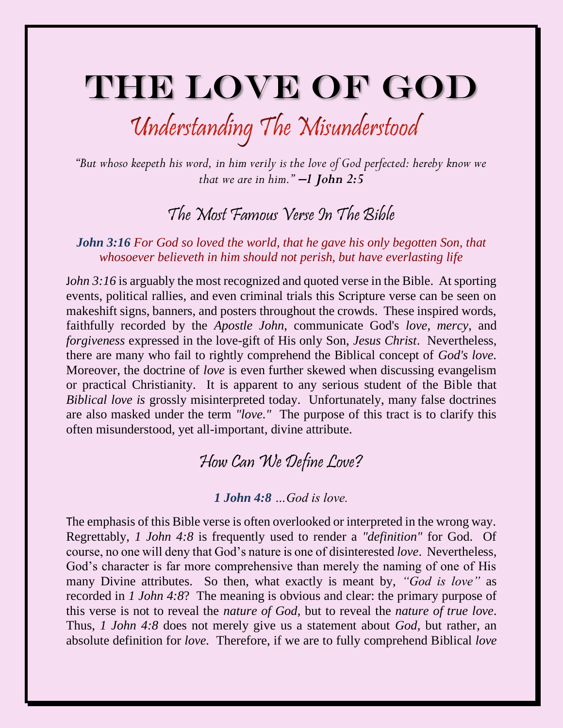## THE LOVE OF GOD

# Understanding The Misunderstood

*"But whoso keepeth his word, in him verily is the love of God perfected: hereby know we that we are in him."* −*1 John 2:5*

### The Most Famous Verse In The Bible

#### *John 3:16 For God so loved the world, that he gave his only begotten Son, that whosoever believeth in him should not perish, but have everlasting life*

*John 3:16* is arguably the most recognized and quoted verse in the Bible. At sporting events, political rallies, and even criminal trials this Scripture verse can be seen on makeshift signs, banners, and posters throughout the crowds. These inspired words, faithfully recorded by the *Apostle John*, communicate God's *love*, *mercy*, and *forgiveness* expressed in the love-gift of His only Son, *Jesus Christ*. Nevertheless, there are many who fail to rightly comprehend the Biblical concept of *God's love.*  Moreover, the doctrine of *love* is even further skewed when discussing evangelism or practical Christianity. It is apparent to any serious student of the Bible that *Biblical love is* grossly misinterpreted today. Unfortunately, many false doctrines are also masked under the term *"love."* The purpose of this tract is to clarify this often misunderstood, yet all-important, divine attribute.

### How Can We Define Love?

#### *1 John 4:8 …God is love.*

The emphasis of this Bible verse is often overlooked or interpreted in the wrong way. Regrettably, *1 John 4:8* is frequently used to render a *"definition"* for God. Of course, no one will deny that God's nature is one of disinterested *love*. Nevertheless, God's character is far more comprehensive than merely the naming of one of His many Divine attributes. So then, what exactly is meant by, *"God is love"* as recorded in *1 John 4:8*? The meaning is obvious and clear: the primary purpose of this verse is not to reveal the *nature of God*, but to reveal the *nature of true love*. Thus, *1 John 4:8* does not merely give us a statement about *God*, but rather, an absolute definition for *love.* Therefore, if we are to fully comprehend Biblical *love*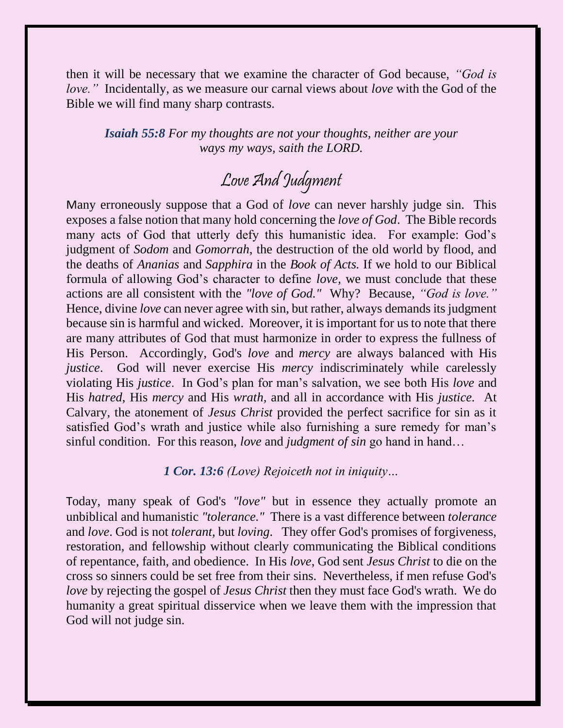then it will be necessary that we examine the character of God because, *"God is love."* Incidentally, as we measure our carnal views about *love* with the God of the Bible we will find many sharp contrasts.

*Isaiah 55:8 For my thoughts are not your thoughts, neither are your ways my ways, saith the LORD.* 

## Love And Judgment

Many erroneously suppose that a God of *love* can never harshly judge sin. This exposes a false notion that many hold concerning the *love of God*. The Bible records many acts of God that utterly defy this humanistic idea. For example: God's judgment of *Sodom* and *Gomorrah*, the destruction of the old world by flood, and the deaths of *Ananias* and *Sapphira* in the *Book of Acts.* If we hold to our Biblical formula of allowing God's character to define *love,* we must conclude that these actions are all consistent with the *"love of God."* Why? Because, *"God is love."*  Hence, divine *love* can never agree with sin, but rather, always demands its judgment because sin is harmful and wicked. Moreover, it is important for us to note that there are many attributes of God that must harmonize in order to express the fullness of His Person. Accordingly, God's *love* and *mercy* are always balanced with His *justice*. God will never exercise His *mercy* indiscriminately while carelessly violating His *justice*. In God's plan for man's salvation, we see both His *love* and His *hatred*, His *mercy* and His *wrath,* and all in accordance with His *justice.* At Calvary, the atonement of *Jesus Christ* provided the perfect sacrifice for sin as it satisfied God's wrath and justice while also furnishing a sure remedy for man's sinful condition. For this reason, *love* and *judgment of sin* go hand in hand…

*1 Cor. 13:6 (Love) Rejoiceth not in iniquity…*

Today, many speak of God's *"love"* but in essence they actually promote an unbiblical and humanistic *"tolerance."* There is a vast difference between *tolerance* and *love*. God is not *tolerant*, but *loving*. They offer God's promises of forgiveness, restoration, and fellowship without clearly communicating the Biblical conditions of repentance, faith, and obedience. In His *love*, God sent *Jesus Christ* to die on the cross so sinners could be set free from their sins. Nevertheless, if men refuse God's *love* by rejecting the gospel of *Jesus Christ* then they must face God's wrath. We do humanity a great spiritual disservice when we leave them with the impression that God will not judge sin.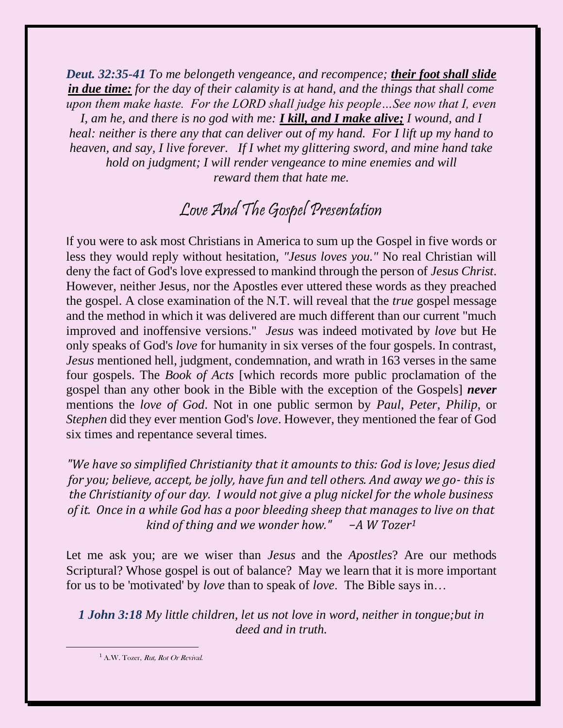*Deut. 32:35-41 To me belongeth vengeance, and recompence; their foot shall slide in due time: for the day of their calamity is at hand, and the things that shall come upon them make haste. For the LORD shall judge his people…See now that I, even* 

*I, am he, and there is no god with me: I kill, and I make alive; I wound, and I heal: neither is there any that can deliver out of my hand. For I lift up my hand to heaven, and say, I live forever. If I whet my glittering sword, and mine hand take hold on judgment; I will render vengeance to mine enemies and will reward them that hate me.*

## Love And The Gospel Presentation

If you were to ask most Christians in America to sum up the Gospel in five words or less they would reply without hesitation, *"Jesus loves you."* No real Christian will deny the fact of God's love expressed to mankind through the person of *Jesus Christ*. However, neither Jesus*,* nor the Apostles ever uttered these words as they preached the gospel. A close examination of the N.T. will reveal that the *true* gospel message and the method in which it was delivered are much different than our current "much improved and inoffensive versions." *Jesus* was indeed motivated by *love* but He only speaks of God's *love* for humanity in six verses of the four gospels. In contrast, *Jesus* mentioned hell, judgment, condemnation, and wrath in 163 verses in the same four gospels. The *Book of Acts* [which records more public proclamation of the gospel than any other book in the Bible with the exception of the Gospels] *never*  mentions the *love of God*. Not in one public sermon by *Paul*, *Peter*, *Philip*, or *Stephen* did they ever mention God's *love*. However, they mentioned the fear of God six times and repentance several times.

*"We have so simplified Christianity that it amounts to this: God is love; Jesus died for you; believe, accept, be jolly, have fun and tell others. And away we go- this is the Christianity of our day. I would not give a plug nickel for the whole business of it. Once in a while God has a poor bleeding sheep that manages to live on that kind of thing and we wonder how." −A W Tozer1*

Let me ask you; are we wiser than *Jesus* and the *Apostles*? Are our methods Scriptural? Whose gospel is out of balance? May we learn that it is more important for us to be 'motivated' by *love* than to speak of *love*. The Bible says in…

*1 John 3:18 My little children, let us not love in word, neither in tongue;but in deed and in truth.*

 $1$  A.W. Tozer, Rut, Rot Or Revival.